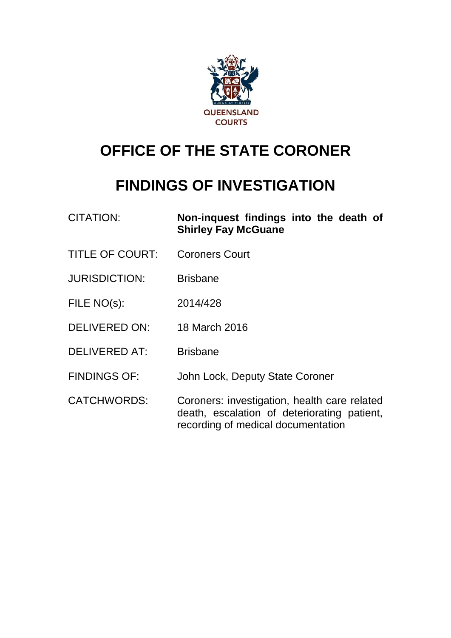

# **OFFICE OF THE STATE CORONER**

# **FINDINGS OF INVESTIGATION**

| <b>CITATION:</b>       | Non-inquest findings into the death of<br><b>Shirley Fay McGuane</b>                                                              |
|------------------------|-----------------------------------------------------------------------------------------------------------------------------------|
| <b>TITLE OF COURT:</b> | <b>Coroners Court</b>                                                                                                             |
| <b>JURISDICTION:</b>   | <b>Brisbane</b>                                                                                                                   |
| FILE NO(s):            | 2014/428                                                                                                                          |
| <b>DELIVERED ON:</b>   | 18 March 2016                                                                                                                     |
| <b>DELIVERED AT:</b>   | <b>Brisbane</b>                                                                                                                   |
| <b>FINDINGS OF:</b>    | John Lock, Deputy State Coroner                                                                                                   |
| <b>CATCHWORDS:</b>     | Coroners: investigation, health care related<br>death, escalation of deteriorating patient,<br>recording of medical documentation |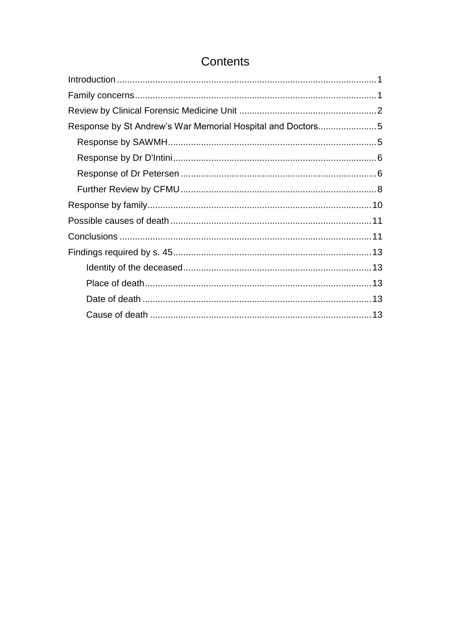## Contents

| Response by St Andrew's War Memorial Hospital and Doctors5 |  |
|------------------------------------------------------------|--|
|                                                            |  |
|                                                            |  |
|                                                            |  |
|                                                            |  |
|                                                            |  |
|                                                            |  |
|                                                            |  |
|                                                            |  |
|                                                            |  |
|                                                            |  |
|                                                            |  |
|                                                            |  |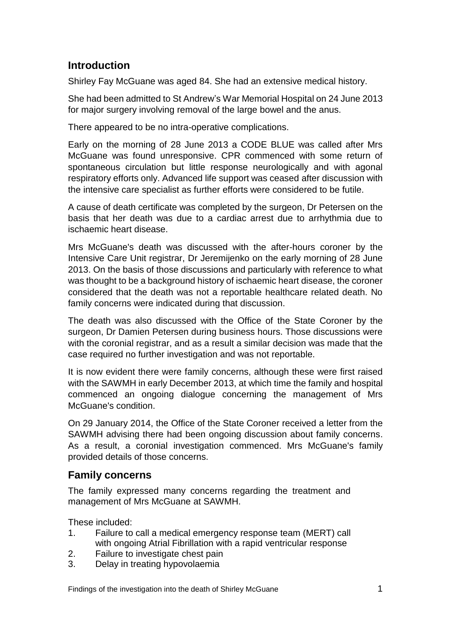## <span id="page-2-0"></span>**Introduction**

Shirley Fay McGuane was aged 84. She had an extensive medical history.

She had been admitted to St Andrew's War Memorial Hospital on 24 June 2013 for major surgery involving removal of the large bowel and the anus.

There appeared to be no intra-operative complications.

Early on the morning of 28 June 2013 a CODE BLUE was called after Mrs McGuane was found unresponsive. CPR commenced with some return of spontaneous circulation but little response neurologically and with agonal respiratory efforts only. Advanced life support was ceased after discussion with the intensive care specialist as further efforts were considered to be futile.

A cause of death certificate was completed by the surgeon, Dr Petersen on the basis that her death was due to a cardiac arrest due to arrhythmia due to ischaemic heart disease.

Mrs McGuane's death was discussed with the after-hours coroner by the Intensive Care Unit registrar, Dr Jeremijenko on the early morning of 28 June 2013. On the basis of those discussions and particularly with reference to what was thought to be a background history of ischaemic heart disease, the coroner considered that the death was not a reportable healthcare related death. No family concerns were indicated during that discussion.

The death was also discussed with the Office of the State Coroner by the surgeon, Dr Damien Petersen during business hours. Those discussions were with the coronial registrar, and as a result a similar decision was made that the case required no further investigation and was not reportable.

It is now evident there were family concerns, although these were first raised with the SAWMH in early December 2013, at which time the family and hospital commenced an ongoing dialogue concerning the management of Mrs McGuane's condition.

On 29 January 2014, the Office of the State Coroner received a letter from the SAWMH advising there had been ongoing discussion about family concerns. As a result, a coronial investigation commenced. Mrs McGuane's family provided details of those concerns.

## <span id="page-2-1"></span>**Family concerns**

The family expressed many concerns regarding the treatment and management of Mrs McGuane at SAWMH.

These included:

- 1. Failure to call a medical emergency response team (MERT) call with ongoing Atrial Fibrillation with a rapid ventricular response
- 2. Failure to investigate chest pain
- 3. Delay in treating hypovolaemia

Findings of the investigation into the death of Shirley McGuane 1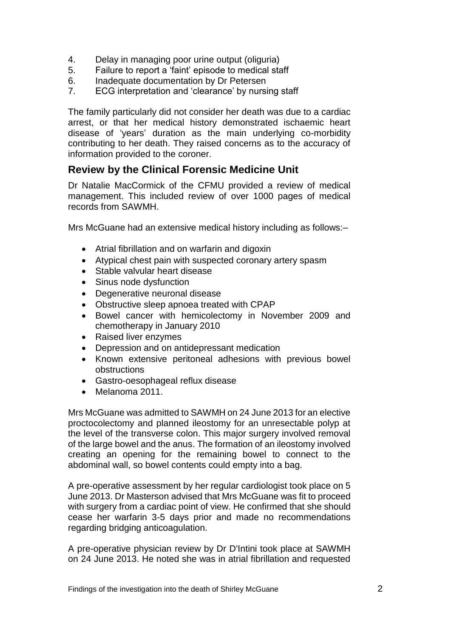- 4. Delay in managing poor urine output (oliguria)
- 5. Failure to report a 'faint' episode to medical staff
- 6. Inadequate documentation by Dr Petersen
- 7. ECG interpretation and 'clearance' by nursing staff

The family particularly did not consider her death was due to a cardiac arrest, or that her medical history demonstrated ischaemic heart disease of 'years' duration as the main underlying co-morbidity contributing to her death. They raised concerns as to the accuracy of information provided to the coroner.

## <span id="page-3-0"></span>**Review by the Clinical Forensic Medicine Unit**

Dr Natalie MacCormick of the CFMU provided a review of medical management. This included review of over 1000 pages of medical records from SAWMH.

Mrs McGuane had an extensive medical history including as follows:–

- Atrial fibrillation and on warfarin and digoxin
- Atypical chest pain with suspected coronary artery spasm
- Stable valvular heart disease
- Sinus node dysfunction
- Degenerative neuronal disease
- Obstructive sleep apnoea treated with CPAP
- Bowel cancer with hemicolectomy in November 2009 and chemotherapy in January 2010
- Raised liver enzymes
- Depression and on antidepressant medication
- Known extensive peritoneal adhesions with previous bowel obstructions
- Gastro-oesophageal reflux disease
- Melanoma 2011.

Mrs McGuane was admitted to SAWMH on 24 June 2013 for an elective proctocolectomy and planned ileostomy for an unresectable polyp at the level of the transverse colon. This major surgery involved removal of the large bowel and the anus. The formation of an ileostomy involved creating an opening for the remaining bowel to connect to the abdominal wall, so bowel contents could empty into a bag.

A pre-operative assessment by her regular cardiologist took place on 5 June 2013. Dr Masterson advised that Mrs McGuane was fit to proceed with surgery from a cardiac point of view. He confirmed that she should cease her warfarin 3-5 days prior and made no recommendations regarding bridging anticoagulation.

A pre-operative physician review by Dr D'Intini took place at SAWMH on 24 June 2013. He noted she was in atrial fibrillation and requested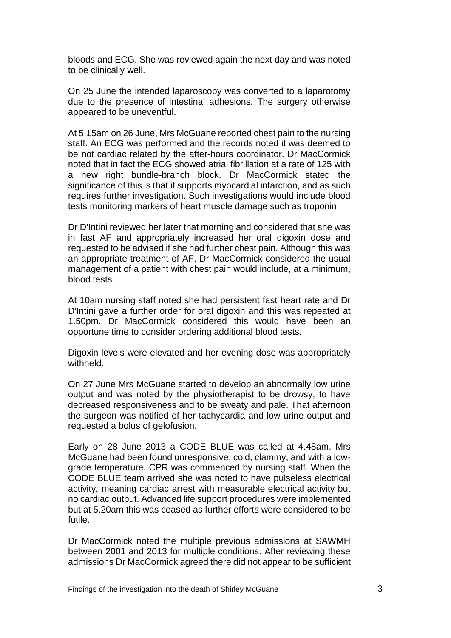bloods and ECG. She was reviewed again the next day and was noted to be clinically well.

On 25 June the intended laparoscopy was converted to a laparotomy due to the presence of intestinal adhesions. The surgery otherwise appeared to be uneventful.

At 5.15am on 26 June, Mrs McGuane reported chest pain to the nursing staff. An ECG was performed and the records noted it was deemed to be not cardiac related by the after-hours coordinator. Dr MacCormick noted that in fact the ECG showed atrial fibrillation at a rate of 125 with a new right bundle-branch block. Dr MacCormick stated the significance of this is that it supports myocardial infarction, and as such requires further investigation. Such investigations would include blood tests monitoring markers of heart muscle damage such as troponin.

Dr D'Intini reviewed her later that morning and considered that she was in fast AF and appropriately increased her oral digoxin dose and requested to be advised if she had further chest pain. Although this was an appropriate treatment of AF, Dr MacCormick considered the usual management of a patient with chest pain would include, at a minimum, blood tests.

At 10am nursing staff noted she had persistent fast heart rate and Dr D'Intini gave a further order for oral digoxin and this was repeated at 1.50pm. Dr MacCormick considered this would have been an opportune time to consider ordering additional blood tests.

Digoxin levels were elevated and her evening dose was appropriately withheld.

On 27 June Mrs McGuane started to develop an abnormally low urine output and was noted by the physiotherapist to be drowsy, to have decreased responsiveness and to be sweaty and pale. That afternoon the surgeon was notified of her tachycardia and low urine output and requested a bolus of gelofusion.

Early on 28 June 2013 a CODE BLUE was called at 4.48am. Mrs McGuane had been found unresponsive, cold, clammy, and with a lowgrade temperature. CPR was commenced by nursing staff. When the CODE BLUE team arrived she was noted to have pulseless electrical activity, meaning cardiac arrest with measurable electrical activity but no cardiac output. Advanced life support procedures were implemented but at 5.20am this was ceased as further efforts were considered to be futile.

Dr MacCormick noted the multiple previous admissions at SAWMH between 2001 and 2013 for multiple conditions. After reviewing these admissions Dr MacCormick agreed there did not appear to be sufficient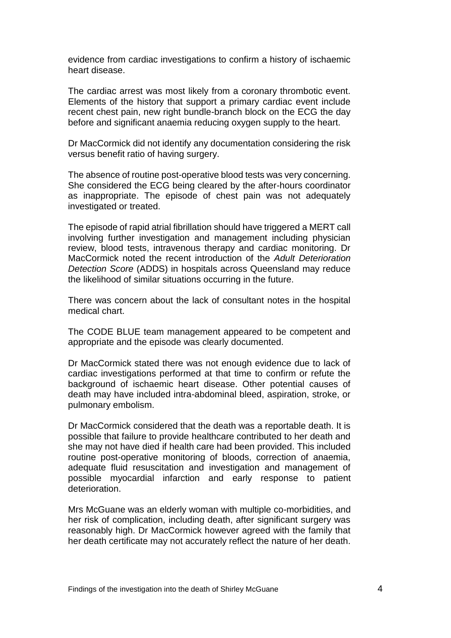evidence from cardiac investigations to confirm a history of ischaemic heart disease.

The cardiac arrest was most likely from a coronary thrombotic event. Elements of the history that support a primary cardiac event include recent chest pain, new right bundle-branch block on the ECG the day before and significant anaemia reducing oxygen supply to the heart.

Dr MacCormick did not identify any documentation considering the risk versus benefit ratio of having surgery.

The absence of routine post-operative blood tests was very concerning. She considered the ECG being cleared by the after-hours coordinator as inappropriate. The episode of chest pain was not adequately investigated or treated.

The episode of rapid atrial fibrillation should have triggered a MERT call involving further investigation and management including physician review, blood tests, intravenous therapy and cardiac monitoring. Dr MacCormick noted the recent introduction of the *Adult Deterioration Detection Score* (ADDS) in hospitals across Queensland may reduce the likelihood of similar situations occurring in the future.

There was concern about the lack of consultant notes in the hospital medical chart.

The CODE BLUE team management appeared to be competent and appropriate and the episode was clearly documented.

Dr MacCormick stated there was not enough evidence due to lack of cardiac investigations performed at that time to confirm or refute the background of ischaemic heart disease. Other potential causes of death may have included intra-abdominal bleed, aspiration, stroke, or pulmonary embolism.

Dr MacCormick considered that the death was a reportable death. It is possible that failure to provide healthcare contributed to her death and she may not have died if health care had been provided. This included routine post-operative monitoring of bloods, correction of anaemia, adequate fluid resuscitation and investigation and management of possible myocardial infarction and early response to patient deterioration.

Mrs McGuane was an elderly woman with multiple co-morbidities, and her risk of complication, including death, after significant surgery was reasonably high. Dr MacCormick however agreed with the family that her death certificate may not accurately reflect the nature of her death.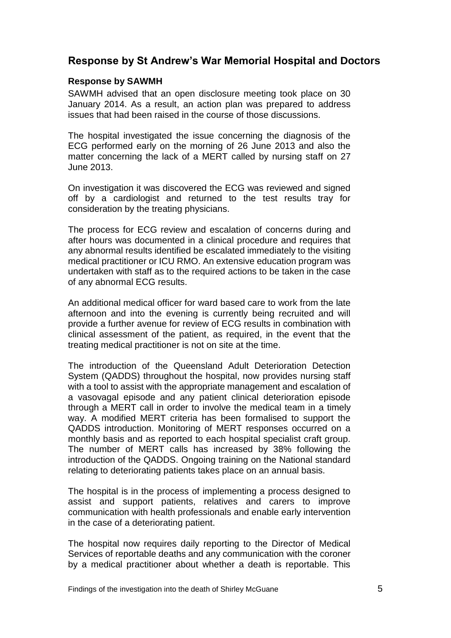## <span id="page-6-0"></span>**Response by St Andrew's War Memorial Hospital and Doctors**

#### <span id="page-6-1"></span>**Response by SAWMH**

SAWMH advised that an open disclosure meeting took place on 30 January 2014. As a result, an action plan was prepared to address issues that had been raised in the course of those discussions.

The hospital investigated the issue concerning the diagnosis of the ECG performed early on the morning of 26 June 2013 and also the matter concerning the lack of a MERT called by nursing staff on 27 June 2013.

On investigation it was discovered the ECG was reviewed and signed off by a cardiologist and returned to the test results tray for consideration by the treating physicians.

The process for ECG review and escalation of concerns during and after hours was documented in a clinical procedure and requires that any abnormal results identified be escalated immediately to the visiting medical practitioner or ICU RMO. An extensive education program was undertaken with staff as to the required actions to be taken in the case of any abnormal ECG results.

An additional medical officer for ward based care to work from the late afternoon and into the evening is currently being recruited and will provide a further avenue for review of ECG results in combination with clinical assessment of the patient, as required, in the event that the treating medical practitioner is not on site at the time.

The introduction of the Queensland Adult Deterioration Detection System (QADDS) throughout the hospital, now provides nursing staff with a tool to assist with the appropriate management and escalation of a vasovagal episode and any patient clinical deterioration episode through a MERT call in order to involve the medical team in a timely way. A modified MERT criteria has been formalised to support the QADDS introduction. Monitoring of MERT responses occurred on a monthly basis and as reported to each hospital specialist craft group. The number of MERT calls has increased by 38% following the introduction of the QADDS. Ongoing training on the National standard relating to deteriorating patients takes place on an annual basis.

The hospital is in the process of implementing a process designed to assist and support patients, relatives and carers to improve communication with health professionals and enable early intervention in the case of a deteriorating patient.

The hospital now requires daily reporting to the Director of Medical Services of reportable deaths and any communication with the coroner by a medical practitioner about whether a death is reportable. This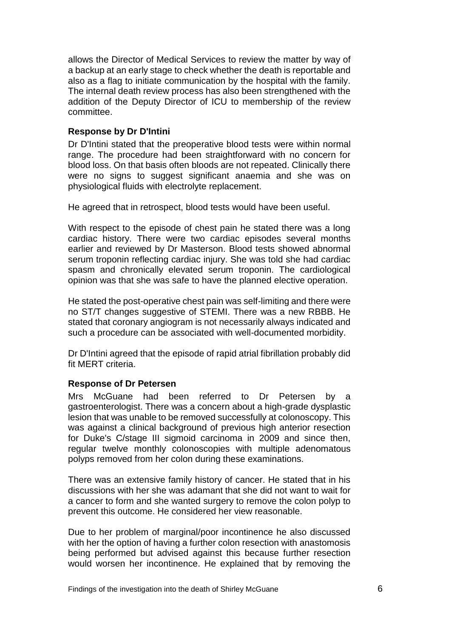allows the Director of Medical Services to review the matter by way of a backup at an early stage to check whether the death is reportable and also as a flag to initiate communication by the hospital with the family. The internal death review process has also been strengthened with the addition of the Deputy Director of ICU to membership of the review committee.

#### <span id="page-7-0"></span>**Response by Dr D'Intini**

Dr D'Intini stated that the preoperative blood tests were within normal range. The procedure had been straightforward with no concern for blood loss. On that basis often bloods are not repeated. Clinically there were no signs to suggest significant anaemia and she was on physiological fluids with electrolyte replacement.

He agreed that in retrospect, blood tests would have been useful.

With respect to the episode of chest pain he stated there was a long cardiac history. There were two cardiac episodes several months earlier and reviewed by Dr Masterson. Blood tests showed abnormal serum troponin reflecting cardiac injury. She was told she had cardiac spasm and chronically elevated serum troponin. The cardiological opinion was that she was safe to have the planned elective operation.

He stated the post-operative chest pain was self-limiting and there were no ST/T changes suggestive of STEMI. There was a new RBBB. He stated that coronary angiogram is not necessarily always indicated and such a procedure can be associated with well-documented morbidity.

Dr D'Intini agreed that the episode of rapid atrial fibrillation probably did fit MERT criteria.

#### <span id="page-7-1"></span>**Response of Dr Petersen**

Mrs McGuane had been referred to Dr Petersen by a gastroenterologist. There was a concern about a high-grade dysplastic lesion that was unable to be removed successfully at colonoscopy. This was against a clinical background of previous high anterior resection for Duke's C/stage III sigmoid carcinoma in 2009 and since then, regular twelve monthly colonoscopies with multiple adenomatous polyps removed from her colon during these examinations.

There was an extensive family history of cancer. He stated that in his discussions with her she was adamant that she did not want to wait for a cancer to form and she wanted surgery to remove the colon polyp to prevent this outcome. He considered her view reasonable.

Due to her problem of marginal/poor incontinence he also discussed with her the option of having a further colon resection with anastomosis being performed but advised against this because further resection would worsen her incontinence. He explained that by removing the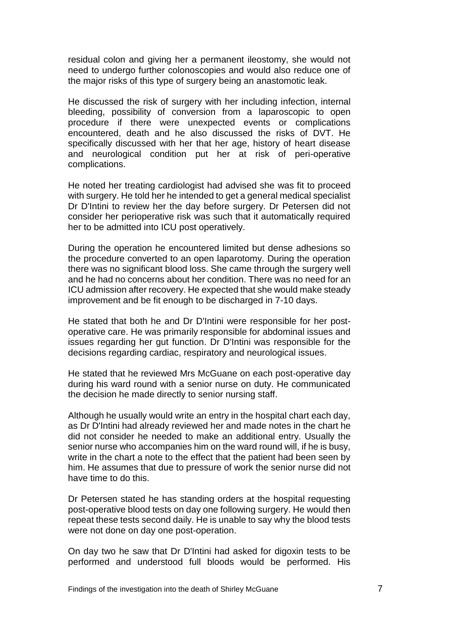residual colon and giving her a permanent ileostomy, she would not need to undergo further colonoscopies and would also reduce one of the major risks of this type of surgery being an anastomotic leak.

He discussed the risk of surgery with her including infection, internal bleeding, possibility of conversion from a laparoscopic to open procedure if there were unexpected events or complications encountered, death and he also discussed the risks of DVT. He specifically discussed with her that her age, history of heart disease and neurological condition put her at risk of peri-operative complications.

He noted her treating cardiologist had advised she was fit to proceed with surgery. He told her he intended to get a general medical specialist Dr D'Intini to review her the day before surgery. Dr Petersen did not consider her perioperative risk was such that it automatically required her to be admitted into ICU post operatively.

During the operation he encountered limited but dense adhesions so the procedure converted to an open laparotomy. During the operation there was no significant blood loss. She came through the surgery well and he had no concerns about her condition. There was no need for an ICU admission after recovery. He expected that she would make steady improvement and be fit enough to be discharged in 7-10 days.

He stated that both he and Dr D'Intini were responsible for her postoperative care. He was primarily responsible for abdominal issues and issues regarding her gut function. Dr D'Intini was responsible for the decisions regarding cardiac, respiratory and neurological issues.

He stated that he reviewed Mrs McGuane on each post-operative day during his ward round with a senior nurse on duty. He communicated the decision he made directly to senior nursing staff.

Although he usually would write an entry in the hospital chart each day, as Dr D'Intini had already reviewed her and made notes in the chart he did not consider he needed to make an additional entry. Usually the senior nurse who accompanies him on the ward round will, if he is busy, write in the chart a note to the effect that the patient had been seen by him. He assumes that due to pressure of work the senior nurse did not have time to do this.

Dr Petersen stated he has standing orders at the hospital requesting post-operative blood tests on day one following surgery. He would then repeat these tests second daily. He is unable to say why the blood tests were not done on day one post-operation.

On day two he saw that Dr D'Intini had asked for digoxin tests to be performed and understood full bloods would be performed. His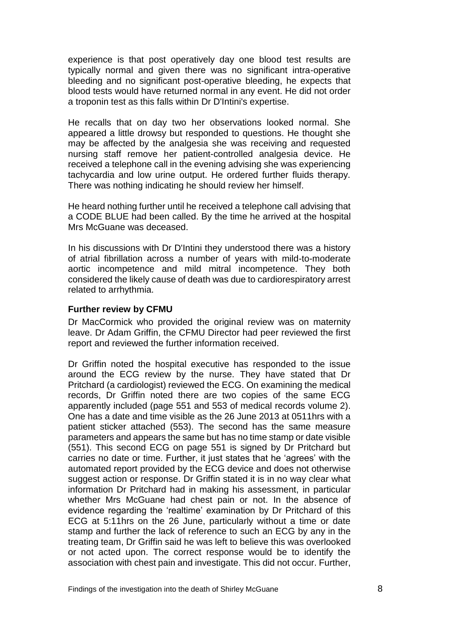experience is that post operatively day one blood test results are typically normal and given there was no significant intra-operative bleeding and no significant post-operative bleeding, he expects that blood tests would have returned normal in any event. He did not order a troponin test as this falls within Dr D'Intini's expertise.

He recalls that on day two her observations looked normal. She appeared a little drowsy but responded to questions. He thought she may be affected by the analgesia she was receiving and requested nursing staff remove her patient-controlled analgesia device. He received a telephone call in the evening advising she was experiencing tachycardia and low urine output. He ordered further fluids therapy. There was nothing indicating he should review her himself.

He heard nothing further until he received a telephone call advising that a CODE BLUE had been called. By the time he arrived at the hospital Mrs McGuane was deceased.

In his discussions with Dr D'Intini they understood there was a history of atrial fibrillation across a number of years with mild-to-moderate aortic incompetence and mild mitral incompetence. They both considered the likely cause of death was due to cardiorespiratory arrest related to arrhythmia.

#### <span id="page-9-0"></span>**Further review by CFMU**

Dr MacCormick who provided the original review was on maternity leave. Dr Adam Griffin, the CFMU Director had peer reviewed the first report and reviewed the further information received.

Dr Griffin noted the hospital executive has responded to the issue around the ECG review by the nurse. They have stated that Dr Pritchard (a cardiologist) reviewed the ECG. On examining the medical records, Dr Griffin noted there are two copies of the same ECG apparently included (page 551 and 553 of medical records volume 2). One has a date and time visible as the 26 June 2013 at 0511hrs with a patient sticker attached (553). The second has the same measure parameters and appears the same but has no time stamp or date visible (551). This second ECG on page 551 is signed by Dr Pritchard but carries no date or time. Further, it just states that he 'agrees' with the automated report provided by the ECG device and does not otherwise suggest action or response. Dr Griffin stated it is in no way clear what information Dr Pritchard had in making his assessment, in particular whether Mrs McGuane had chest pain or not. In the absence of evidence regarding the 'realtime' examination by Dr Pritchard of this ECG at 5:11hrs on the 26 June, particularly without a time or date stamp and further the lack of reference to such an ECG by any in the treating team, Dr Griffin said he was left to believe this was overlooked or not acted upon. The correct response would be to identify the association with chest pain and investigate. This did not occur. Further,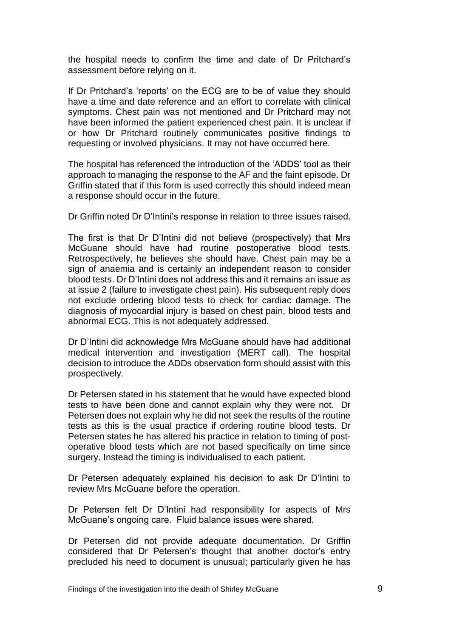the hospital needs to confirm the time and date of Dr Pritchard's assessment before relying on it.

If Dr Pritchard's 'reports' on the ECG are to be of value they should have a time and date reference and an effort to correlate with clinical symptoms. Chest pain was not mentioned and Dr Pritchard may not have been informed the patient experienced chest pain. It is unclear if or how Dr Pritchard routinely communicates positive findings to requesting or involved physicians. It may not have occurred here.

The hospital has referenced the introduction of the 'ADDS' tool as their approach to managing the response to the AF and the faint episode. Dr Griffin stated that if this form is used correctly this should indeed mean a response should occur in the future.

Dr Griffin noted Dr D'Intini's response in relation to three issues raised.

The first is that Dr D'Intini did not believe (prospectively) that Mrs McGuane should have had routine postoperative blood tests. Retrospectively, he believes she should have. Chest pain may be a sign of anaemia and is certainly an independent reason to consider blood tests. Dr D'Intini does not address this and it remains an issue as at issue 2 (failure to investigate chest pain). His subsequent reply does not exclude ordering blood tests to check for cardiac damage. The diagnosis of myocardial injury is based on chest pain, blood tests and abnormal ECG. This is not adequately addressed.

Dr D'Intini did acknowledge Mrs McGuane should have had additional medical intervention and investigation (MERT call). The hospital decision to introduce the ADDs observation form should assist with this prospectively.

Dr Petersen stated in his statement that he would have expected blood tests to have been done and cannot explain why they were not. Dr Petersen does not explain why he did not seek the results of the routine tests as this is the usual practice if ordering routine blood tests. Dr Petersen states he has altered his practice in relation to timing of postoperative blood tests which are not based specifically on time since surgery. Instead the timing is individualised to each patient.

Dr Petersen adequately explained his decision to ask Dr D'Intini to review Mrs McGuane before the operation.

Dr Petersen felt Dr D'Intini had responsibility for aspects of Mrs McGuane's ongoing care. Fluid balance issues were shared.

Dr Petersen did not provide adequate documentation. Dr Griffin considered that Dr Petersen's thought that another doctor's entry precluded his need to document is unusual; particularly given he has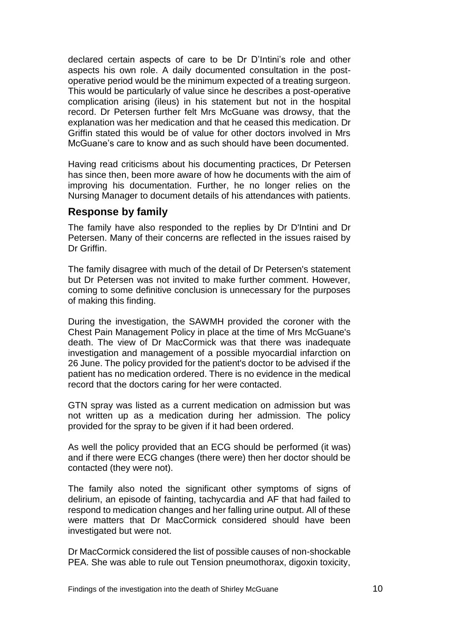declared certain aspects of care to be Dr D'Intini's role and other aspects his own role. A daily documented consultation in the postoperative period would be the minimum expected of a treating surgeon. This would be particularly of value since he describes a post-operative complication arising (ileus) in his statement but not in the hospital record. Dr Petersen further felt Mrs McGuane was drowsy, that the explanation was her medication and that he ceased this medication. Dr Griffin stated this would be of value for other doctors involved in Mrs McGuane's care to know and as such should have been documented.

Having read criticisms about his documenting practices, Dr Petersen has since then, been more aware of how he documents with the aim of improving his documentation. Further, he no longer relies on the Nursing Manager to document details of his attendances with patients.

### <span id="page-11-0"></span>**Response by family**

The family have also responded to the replies by Dr D'Intini and Dr Petersen. Many of their concerns are reflected in the issues raised by Dr Griffin.

The family disagree with much of the detail of Dr Petersen's statement but Dr Petersen was not invited to make further comment. However, coming to some definitive conclusion is unnecessary for the purposes of making this finding.

During the investigation, the SAWMH provided the coroner with the Chest Pain Management Policy in place at the time of Mrs McGuane's death. The view of Dr MacCormick was that there was inadequate investigation and management of a possible myocardial infarction on 26 June. The policy provided for the patient's doctor to be advised if the patient has no medication ordered. There is no evidence in the medical record that the doctors caring for her were contacted.

GTN spray was listed as a current medication on admission but was not written up as a medication during her admission. The policy provided for the spray to be given if it had been ordered.

As well the policy provided that an ECG should be performed (it was) and if there were ECG changes (there were) then her doctor should be contacted (they were not).

The family also noted the significant other symptoms of signs of delirium, an episode of fainting, tachycardia and AF that had failed to respond to medication changes and her falling urine output. All of these were matters that Dr MacCormick considered should have been investigated but were not.

Dr MacCormick considered the list of possible causes of non-shockable PEA. She was able to rule out Tension pneumothorax, digoxin toxicity,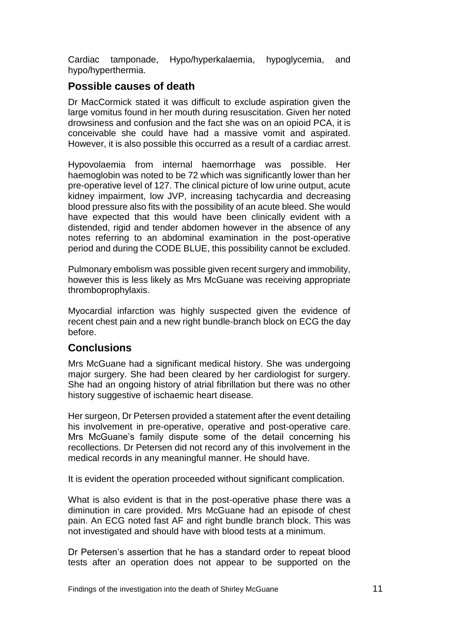Cardiac tamponade, Hypo/hyperkalaemia, hypoglycemia, and hypo/hyperthermia.

## <span id="page-12-0"></span>**Possible causes of death**

Dr MacCormick stated it was difficult to exclude aspiration given the large vomitus found in her mouth during resuscitation. Given her noted drowsiness and confusion and the fact she was on an opioid PCA, it is conceivable she could have had a massive vomit and aspirated. However, it is also possible this occurred as a result of a cardiac arrest.

Hypovolaemia from internal haemorrhage was possible. Her haemoglobin was noted to be 72 which was significantly lower than her pre-operative level of 127. The clinical picture of low urine output, acute kidney impairment, low JVP, increasing tachycardia and decreasing blood pressure also fits with the possibility of an acute bleed. She would have expected that this would have been clinically evident with a distended, rigid and tender abdomen however in the absence of any notes referring to an abdominal examination in the post-operative period and during the CODE BLUE, this possibility cannot be excluded.

Pulmonary embolism was possible given recent surgery and immobility, however this is less likely as Mrs McGuane was receiving appropriate thromboprophylaxis.

Myocardial infarction was highly suspected given the evidence of recent chest pain and a new right bundle-branch block on ECG the day before.

## <span id="page-12-1"></span>**Conclusions**

Mrs McGuane had a significant medical history. She was undergoing major surgery. She had been cleared by her cardiologist for surgery. She had an ongoing history of atrial fibrillation but there was no other history suggestive of ischaemic heart disease.

Her surgeon, Dr Petersen provided a statement after the event detailing his involvement in pre-operative, operative and post-operative care. Mrs McGuane's family dispute some of the detail concerning his recollections. Dr Petersen did not record any of this involvement in the medical records in any meaningful manner. He should have.

It is evident the operation proceeded without significant complication.

What is also evident is that in the post-operative phase there was a diminution in care provided. Mrs McGuane had an episode of chest pain. An ECG noted fast AF and right bundle branch block. This was not investigated and should have with blood tests at a minimum.

Dr Petersen's assertion that he has a standard order to repeat blood tests after an operation does not appear to be supported on the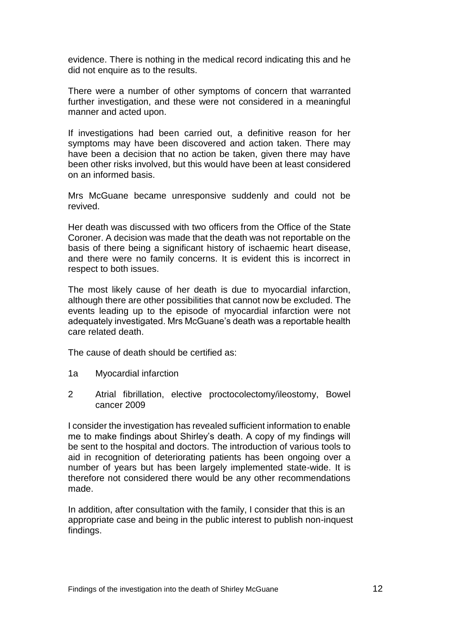evidence. There is nothing in the medical record indicating this and he did not enquire as to the results.

There were a number of other symptoms of concern that warranted further investigation, and these were not considered in a meaningful manner and acted upon.

If investigations had been carried out, a definitive reason for her symptoms may have been discovered and action taken. There may have been a decision that no action be taken, given there may have been other risks involved, but this would have been at least considered on an informed basis.

Mrs McGuane became unresponsive suddenly and could not be revived.

Her death was discussed with two officers from the Office of the State Coroner. A decision was made that the death was not reportable on the basis of there being a significant history of ischaemic heart disease, and there were no family concerns. It is evident this is incorrect in respect to both issues.

The most likely cause of her death is due to myocardial infarction, although there are other possibilities that cannot now be excluded. The events leading up to the episode of myocardial infarction were not adequately investigated. Mrs McGuane's death was a reportable health care related death.

The cause of death should be certified as:

- 1a Myocardial infarction
- 2 Atrial fibrillation, elective proctocolectomy/ileostomy, Bowel cancer 2009

I consider the investigation has revealed sufficient information to enable me to make findings about Shirley's death. A copy of my findings will be sent to the hospital and doctors. The introduction of various tools to aid in recognition of deteriorating patients has been ongoing over a number of years but has been largely implemented state-wide. It is therefore not considered there would be any other recommendations made.

In addition, after consultation with the family, I consider that this is an appropriate case and being in the public interest to publish non-inquest findings.